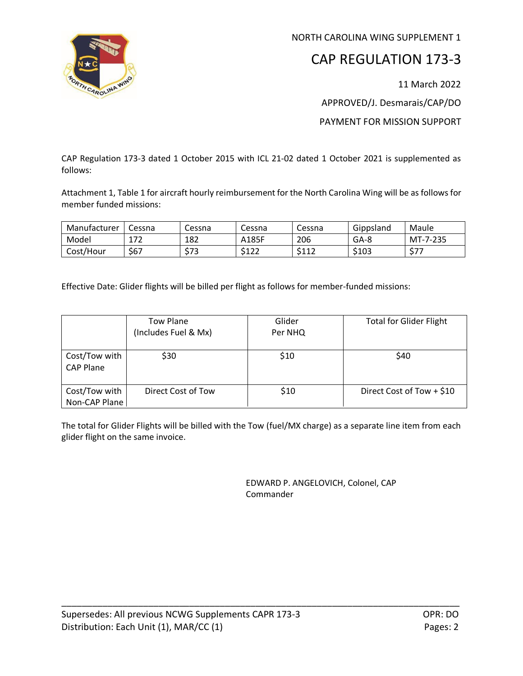

NORTH CAROLINA WING SUPPLEMENT 1

## CAP REGULATION 173-3

11 March 2022

APPROVED/J. Desmarais/CAP/DO

PAYMENT FOR MISSION SUPPORT

CAP Regulation 173-3 dated 1 October 2015 with ICL 21-02 dated 1 October 2021 is supplemented as follows:

Attachment 1, Table 1 for aircraft hourly reimbursement for the North Carolina Wing will be as follows for member funded missions:

| Manufacturer | Cessna     | <b>Cessna</b> | Cessna               | Cessna                | Gippsland | Maule    |
|--------------|------------|---------------|----------------------|-----------------------|-----------|----------|
| Model        | 177<br>∸′′ | 182           | A185F                | 206                   | GA-8      | MT-7-235 |
| Cost/Hour    | \$67       | トラつ<br>ر ر    | <b>CA つつ</b><br>,⊥∠∠ | <b>C117</b><br>ے کہ د | \$103     | ビーマ<br>J |

Effective Date: Glider flights will be billed per flight as follows for member-funded missions:

|                                   | Tow Plane            | Glider  | <b>Total for Glider Flight</b> |  |
|-----------------------------------|----------------------|---------|--------------------------------|--|
|                                   | (Includes Fuel & Mx) | Per NHQ |                                |  |
|                                   |                      |         |                                |  |
| Cost/Tow with<br><b>CAP Plane</b> | \$30                 | \$10    | \$40                           |  |
| Cost/Tow with                     | Direct Cost of Tow   | \$10    | Direct Cost of Tow $+$ \$10    |  |
| Non-CAP Plane                     |                      |         |                                |  |

The total for Glider Flights will be billed with the Tow (fuel/MX charge) as a separate line item from each glider flight on the same invoice.

\_\_\_\_\_\_\_\_\_\_\_\_\_\_\_\_\_\_\_\_\_\_\_\_\_\_\_\_\_\_\_\_\_\_\_\_\_\_\_\_\_\_\_\_\_\_\_\_\_\_\_\_\_\_\_\_\_\_\_\_\_\_\_\_\_\_\_\_\_\_\_\_\_\_\_\_\_\_

EDWARD P. ANGELOVICH, Colonel, CAP Commander